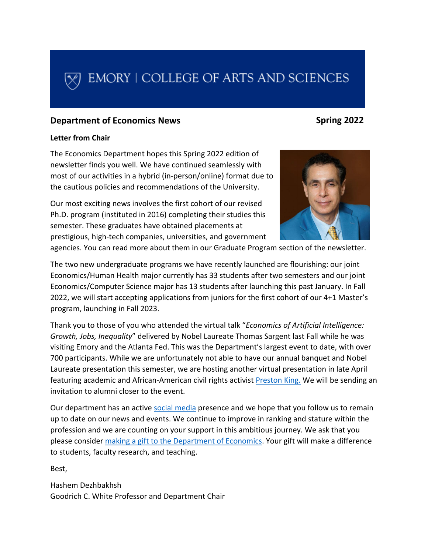# EMORY | COLLEGE OF ARTS AND SCIENCES

#### **Department of Economics News**

#### **Spring 2022**

#### **Letter from Chair**

The Economics Department hopes this Spring 2022 edition of newsletter finds you well. We have continued seamlessly with most of our activities in a hybrid (in-person/online) format due to the cautious policies and recommendations of the University.

Our most exciting news involves the first cohort of our revised Ph.D. program (instituted in 2016) completing their studies this semester. These graduates have obtained placements at prestigious, high-tech companies, universities, and government



agencies. You can read more about them in our Graduate Program section of the newsletter.

The two new undergraduate programs we have recently launched are flourishing: our joint Economics/Human Health major currently has 33 students after two semesters and our joint Economics/Computer Science major has 13 students after launching this past January. In Fall 2022, we will start accepting applications from juniors for the first cohort of our 4+1 Master's program, launching in Fall 2023.

Thank you to those of you who attended the virtual talk "*Economics of Artificial Intelligence: Growth, Jobs, Inequality*" delivered by Nobel Laureate Thomas Sargent last Fall while he was visiting Emory and the Atlanta Fed. This was the Department's largest event to date, with over 700 participants. While we are unfortunately not able to have our annual banquet and Nobel Laureate presentation this semester, we are hosting another virtual presentation in late April featuring academic and African-American civil rights activist [Preston King.](https://en.wikipedia.org/wiki/Preston_King_(academic)) We will be sending an invitation to alumni closer to the event.

Our department has an active [social media](https://economics.emory.edu/about/connect-social-media.html) presence and we hope that you follow us to remain up to date on our news and events. We continue to improve in ranking and stature within the profession and we are counting on your support in this ambitious journey. We ask that you please consider [making a gift to the Department of Economics.](http://economics.emory.edu/home/alumni/giving.html) Your gift will make a difference to students, faculty research, and teaching.

Best,

Hashem Dezhbakhsh Goodrich C. White Professor and Department Chair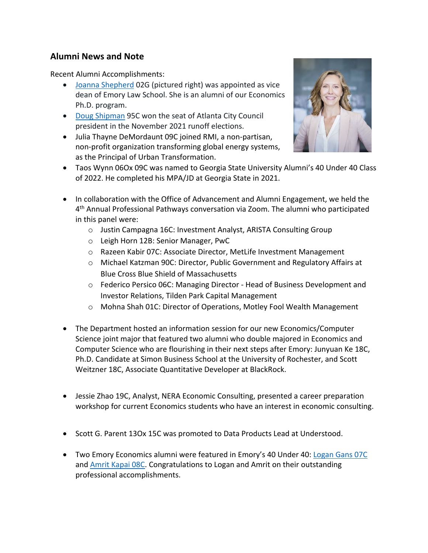# **Alumni News and Note**

Recent Alumni Accomplishments:

- [Joanna Shepherd](https://law.emory.edu/faculty/faculty-profiles/shepherd-j-profile.html) 02G (pictured right) was appointed as vice dean of Emory Law School. She is an alumni of our Economics Ph.D. program.
- [Doug Shipman](https://news.emory.edu/stories/2021/12/er_shipman_atlanta_city_council_president_02-12-2021/campus.html) 95C won the seat of Atlanta City Council president in the November 2021 runoff elections.
- Julia Thayne DeMordaunt 09C joined RMI, a non-partisan, non-profit organization transforming global energy systems, as the Principal of Urban Transformation.



- Taos Wynn 06Ox 09C was named to Georgia State University Alumni's 40 Under 40 Class of 2022. He completed his MPA/JD at Georgia State in 2021.
- In collaboration with the Office of Advancement and Alumni Engagement, we held the 4th Annual Professional Pathways conversation via Zoom. The alumni who participated in this panel were:
	- o Justin Campagna 16C: Investment Analyst, ARISTA Consulting Group
	- o Leigh Horn 12B: Senior Manager, PwC
	- o Razeen Kabir 07C: Associate Director, MetLife Investment Management
	- o Michael Katzman 90C: Director, Public Government and Regulatory Affairs at Blue Cross Blue Shield of Massachusetts
	- o Federico Persico 06C: Managing Director Head of Business Development and Investor Relations, Tilden Park Capital Management
	- o Mohna Shah 01C: Director of Operations, Motley Fool Wealth Management
- The Department hosted an information session for our new Economics/Computer Science joint major that featured two alumni who double majored in Economics and Computer Science who are flourishing in their next steps after Emory: Junyuan Ke 18C, Ph.D. Candidate at Simon Business School at the University of Rochester, and Scott Weitzner 18C, Associate Quantitative Developer at BlackRock.
- Jessie Zhao 19C, Analyst, NERA Economic Consulting, presented a career preparation workshop for current Economics students who have an interest in economic consulting.
- Scott G. Parent 13Ox 15C was promoted to Data Products Lead at Understood.
- Two Emory Economics alumni were featured in Emory's 40 Under 40: [Logan Gans 07C](https://together.emory.edu/alumni/awards/40-under-forty/logan-gans) and [Amrit Kapai 08C.](https://together.emory.edu/amrit-kapai-08c) Congratulations to Logan and Amrit on their outstanding professional accomplishments.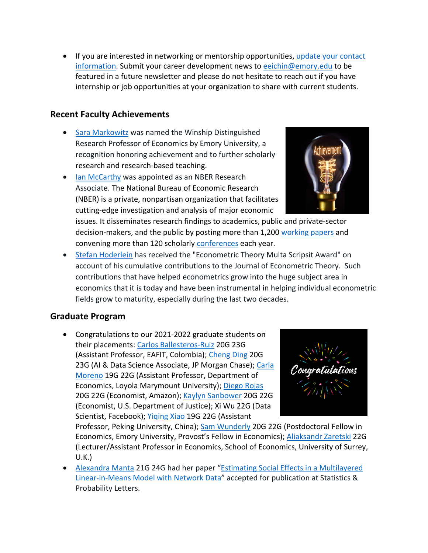• If you are interested in networking or mentorship opportunities, update your contact [information.](https://economics.emory.edu/alumni/alumni-engagement.html) Submit your career development news t[o eeichin@emory.edu](mailto:eeichin@emory.edu) to be featured in a future newsletter and please do not hesitate to reach out if you have internship or job opportunities at your organization to share with current students.

#### **Recent Faculty Achievements**

- [Sara Markowitz](https://economics.emory.edu/people/faculty/biography/markowitz-sara.html) was named the Winship Distinguished Research Professor of Economics by Emory University, a recognition honoring achievement and to further scholarly research and research-based teaching.
- [Ian McCarthy](https://economics.emory.edu/people/faculty/biography/mccarthy-ian.html) was appointed as an NBER Research Associate. The National Bureau of Economic Research [\(NBER\)](https://www.nber.org/about-nber) is a private, nonpartisan organization that facilitates cutting-edge investigation and analysis of major economic

issues. It disseminates research findings to academics, public and private-sector decision-makers, and the public by posting more than 1,200 [working papers](https://www.nber.org/papers) and convening more than 120 scholarly [conferences](https://www.nber.org/conferences) each year.

• [Stefan Hoderlein](https://economics.emory.edu/people/faculty/biography/hoderlein-stefan.html) has received the "Econometric Theory Multa Scripsit Award" on account of his cumulative contributions to the Journal of Econometric Theory. Such contributions that have helped econometrics grow into the huge subject area in economics that it is today and have been instrumental in helping individual econometric fields grow to maturity, especially during the last two decades.

# **Graduate Program**

• Congratulations to our 2021-2022 graduate students on their placements: [Carlos Ballesteros-Ruiz](https://economics.emory.edu/people/grad-students/ballesteros-ruiz-carlos.html) 20G 23G (Assistant Professor, EAFIT, Colombia); [Cheng Ding](https://economics.emory.edu/people/grad-students/ding-cheng.html) 20G 23G (AI & Data Science Associate, JP Morgan Chase); [Carla](https://economics.emory.edu/people/grad-students/moreno-carla.html)  [Moreno](https://economics.emory.edu/people/grad-students/moreno-carla.html) 19G 22G (Assistant Professor, Department of Economics, Loyola Marymount University)[; Diego Rojas](https://economics.emory.edu/people/grad-students/rojas-diego.html) 20G 22G (Economist, Amazon); [Kaylyn Sanbower](https://economics.emory.edu/people/grad-students/sanbower-kaylyn.html) 20G 22G (Economist, U.S. Department of Justice); Xi Wu 22G (Data Scientist, Facebook); Yiging Xiao 19G 22G (Assistant



Professor, Peking University, China); [Sam Wunderly](https://economics.emory.edu/people/grad-students/wunderly-sam.html) 20G 22G (Postdoctoral Fellow in Economics, Emory University, Provost's Fellow in Economics); [Aliaksandr Zaretski](https://economics.emory.edu/people/grad-students/zaretski-aliaksandr.html) 22G (Lecturer/Assistant Professor in Economics, School of Economics, University of Surrey, U.K.)

• [Alexandra Manta](https://economics.emory.edu/people/grad-students/manta-alexandra.html) 21G 24G had her paper "Estimating Social Effects in a Multilayered [Linear-in-Means Model with Network Data"](https://doi.org/10.1016/j.spl.2021.109331) accepted for publication at Statistics & Probability Letters.

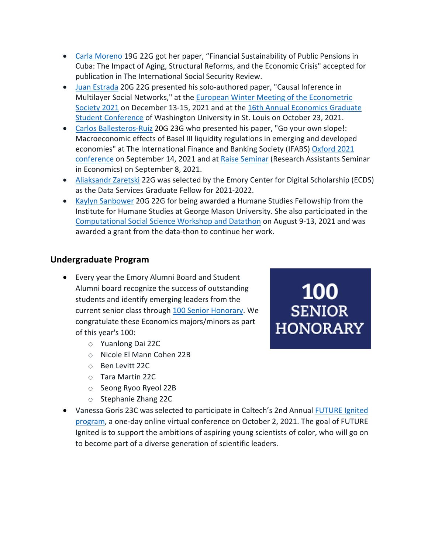- [Carla Moreno](https://economics.emory.edu/people/grad-students/moreno-carla.html) 19G 22G got her paper, "Financial Sustainability of Public Pensions in Cuba: The Impact of Aging, Structural Reforms, and the Economic Crisis" accepted for publication in The International Social Security Review.
- [Juan Estrada](https://economics.emory.edu/people/grad-students/estrada-juan.html) 20G 22G presented his solo-authored paper, "Causal Inference in Multilayer Social Networks," at the [European Winter Meeting of the Econometric](https://www.ub.edu/school-economics/ewmes#1626327056973-36efea4a-c997)  [Society 2021](https://www.ub.edu/school-economics/ewmes#1626327056973-36efea4a-c997) on December 13-15, 2021 and at the [16th Annual Economics Graduate](https://sites.wustl.edu/egsc/about/)  [Student Conference](https://sites.wustl.edu/egsc/about/) of Washington University in St. Louis on October 23, 2021.
- [Carlos Ballesteros-Ruiz](https://economics.emory.edu/people/grad-students/ballesteros-ruiz-carlos.html) 20G 23G who presented his paper, "Go your own slope!: Macroeconomic effects of Basel III liquidity regulations in emerging and developed economies" at The International Finance and Banking Society (IFABS) [Oxford 2021](https://www.ifabs.org/copy-of-ifabs-oxford-call-1)  [conference](https://www.ifabs.org/copy-of-ifabs-oxford-call-1) on September 14, 2021 and at [Raise Seminar](https://sites.google.com/view/raiseminar/home?authuser=1) (Research Assistants Seminar in Economics) on September 8, 2021.
- [Aliaksandr Zaretski](https://economics.emory.edu/people/grad-students/zaretski-aliaksandr.html) 22G was selected by the Emory Center for Digital Scholarship (ECDS) as the Data Services Graduate Fellow for 2021-2022.
- [Kaylyn Sanbower](https://economics.emory.edu/people/grad-students/sanbower-kaylyn.html) 20G 22G for being awarded a Humane Studies Fellowship from the Institute for Humane Studies at George Mason University. She also participated in the [Computational Social Science Workshop and Datathon](https://sites.google.com/view/css-workshop-datathon/home?authuser=0) on August 9-13, 2021 and was awarded a grant from the data-thon to continue her work.

# **Undergraduate Program**

- Every year the Emory Alumni Board and Student Alumni board recognize the success of outstanding students and identify emerging leaders from the current senior class through [100 Senior Honorary.](https://together.emory.edu/alumni/awards/student-awards-scholarship/100-senior-honorary) We congratulate these Economics majors/minors as part of this year's 100:
	- o Yuanlong Dai 22C
	- o Nicole El Mann Cohen 22B
	- o Ben Levitt 22C
	- o Tara Martin 22C
	- o Seong Ryoo Ryeol 22B
	- o Stephanie Zhang 22C
- Vanessa Goris 23C was selected to participate in Caltech's 2nd Annual FUTURE Ignited [program,](https://sfp.caltech.edu/diversity-equity-and-inclusion-programs/futures-ignited/purpose) a one-day online virtual conference on October 2, 2021. The goal of FUTURE Ignited is to support the ambitions of aspiring young scientists of color, who will go on to become part of a diverse generation of scientific leaders.

**100 SENIOR HONORARY**